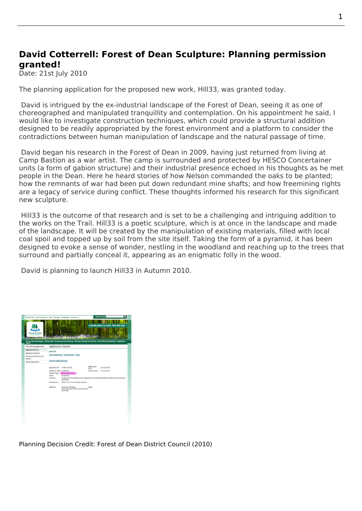## **David Cotterrell: Forest of Dean Sculpture: Planning permission granted!**

Date: 21st July 2010

The planning application for the proposed new work, Hill33, was granted today.

 David is intrigued by the ex-industrial landscape of the Forest of Dean, seeing it as one of choreographed and manipulated tranquillity and contemplation. On his appointment he said, I wou[ld like to investigate](http://www.fdean.gov.uk/nqcontent.cfm?a_id=6918&tt=graphic&externalurl=http://planning.fdean.gov.uk/WAM/pas/findCaseFile.do?appNumber=P1053/10/FUL&action=Search) construction techniques, which could provide a structural addition designed to be readily appropriated by the forest environment and a platform to consider the contradictions between human manipulation of landscape and the natural passage of time.

 David began his research in the Forest of Dean in 2009, having just returned from living at Camp Bastion as a war artist. The camp is surrounded and protected by HESCO Concertainer units (a form of gabion structure) and their industrial presence echoed in his thoughts as he met people in the Dean. Here he heard stories of how Nelson commanded the oaks to be planted; how the remnants of war had been put down redundant mine shafts; and how freemining rights are a legacy of ser[vice during](http://www.cotterrell.com/awards/4175/war-medicine-war-artist-commission/) conflict. These thoughts informed his research for this significant new sculpture.

Hill33 is the outcome of that research and is set to be a challenging and intriguing addition to the works on the Trail. Hill33 is a poetic sculpture, which is at once in the landscape and made of the landscape. It will be created by the manipulation of existing materials, filled with local coal spoil and topped up by soil from the site itself. Taking the form of a pyramid, it has been designed to evoke a sense of wonder, nestling in the woodland and reaching up to the trees that surround and par[tially](http://www.forestofdean-sculpture.org.uk/events/new-commission/) conceal it, appearing as an enigmatic folly in the wood.

David is planning to launch Hill33 in Autumn 2010.



Planning Decision Credit: Forest of Dean District Council (2010)